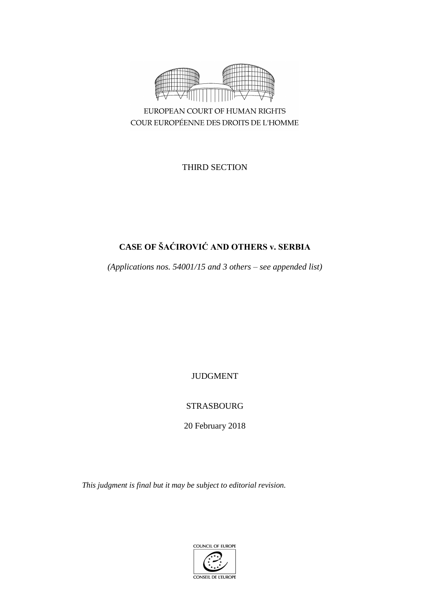

COUR EUROPÉENNE DES DROITS DE L'HOMME

THIRD SECTION

# **CASE OF ŠAĆIROVIĆ AND OTHERS v. SERBIA**

*(Applications nos. 54001/15 and 3 others – see appended list)*

JUDGMENT

# STRASBOURG

20 February 2018

*This judgment is final but it may be subject to editorial revision.*

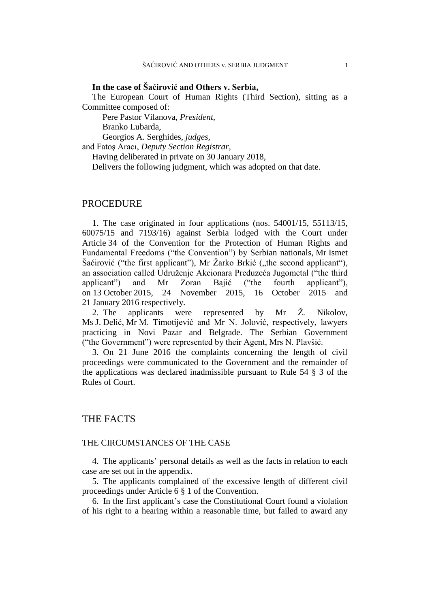#### **In the case of Šaćirović and Others v. Serbia,**

The European Court of Human Rights (Third Section), sitting as a Committee composed of:

Pere Pastor Vilanova, *President,*

Branko Lubarda,

Georgios A. Serghides, *judges,*

and Fatoş Aracı, *Deputy Section Registrar,*

Having deliberated in private on 30 January 2018,

Delivers the following judgment, which was adopted on that date.

#### PROCEDURE

1. The case originated in four applications (nos. 54001/15, 55113/15, 60075/15 and 7193/16) against Serbia lodged with the Court under Article 34 of the Convention for the Protection of Human Rights and Fundamental Freedoms ("the Convention") by Serbian nationals, Mr Ismet Šaćirović ("the first applicant"), Mr Žarko Brkić ("the second applicant"), an association called Udruženje Akcionara Preduzeća Jugometal ("the third applicant") and Mr Zoran Bajić ("the fourth applicant"), on 13 October 2015, 24 November 2015, 16 October 2015 and 21 January 2016 respectively.

2. The applicants were represented by Mr Ž. Nikolov, Ms J. Đelić, Mr M. Timotijević and Mr N. Jolović, respectively, lawyers practicing in Novi Pazar and Belgrade. The Serbian Government ("the Government") were represented by their Agent, Mrs N. Plavšić.

3. On 21 June 2016 the complaints concerning the length of civil proceedings were communicated to the Government and the remainder of the applications was declared inadmissible pursuant to Rule 54 § 3 of the Rules of Court.

### THE FACTS

#### THE CIRCUMSTANCES OF THE CASE

4. The applicants' personal details as well as the facts in relation to each case are set out in the appendix.

5. The applicants complained of the excessive length of different civil proceedings under Article 6 § 1 of the Convention.

6. In the first applicant's case the Constitutional Court found a violation of his right to a hearing within a reasonable time, but failed to award any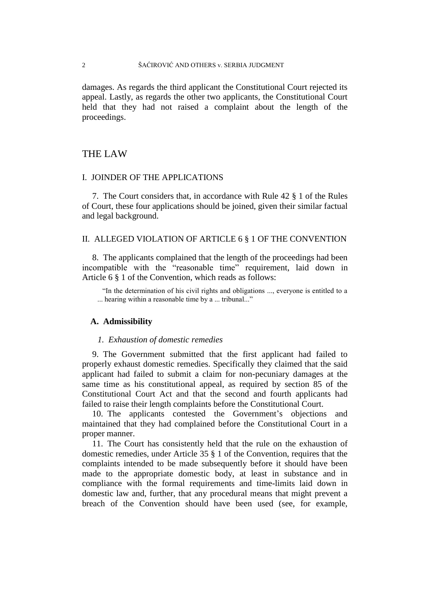#### 2 ŠAĆIROVIĆ AND OTHERS v. SERBIA JUDGMENT

damages. As regards the third applicant the Constitutional Court rejected its appeal. Lastly, as regards the other two applicants, the Constitutional Court held that they had not raised a complaint about the length of the proceedings.

# THE LAW

# I. JOINDER OF THE APPLICATIONS

7. The Court considers that, in accordance with Rule 42 § 1 of the Rules of Court, these four applications should be joined, given their similar factual and legal background.

#### II. ALLEGED VIOLATION OF ARTICLE 6 § 1 OF THE CONVENTION

8. The applicants complained that the length of the proceedings had been incompatible with the "reasonable time" requirement, laid down in Article 6 § 1 of the Convention, which reads as follows:

"In the determination of his civil rights and obligations ..., everyone is entitled to a ... hearing within a reasonable time by a ... tribunal..."

#### **A. Admissibility**

#### *1. Exhaustion of domestic remedies*

9. The Government submitted that the first applicant had failed to properly exhaust domestic remedies. Specifically they claimed that the said applicant had failed to submit a claim for non-pecuniary damages at the same time as his constitutional appeal, as required by section 85 of the Constitutional Court Act and that the second and fourth applicants had failed to raise their length complaints before the Constitutional Court.

10. The applicants contested the Government's objections and maintained that they had complained before the Constitutional Court in a proper manner.

11. The Court has consistently held that the rule on the exhaustion of domestic remedies, under Article 35 § 1 of the Convention, requires that the complaints intended to be made subsequently before it should have been made to the appropriate domestic body, at least in substance and in compliance with the formal requirements and time-limits laid down in domestic law and, further, that any procedural means that might prevent a breach of the Convention should have been used (see, for example,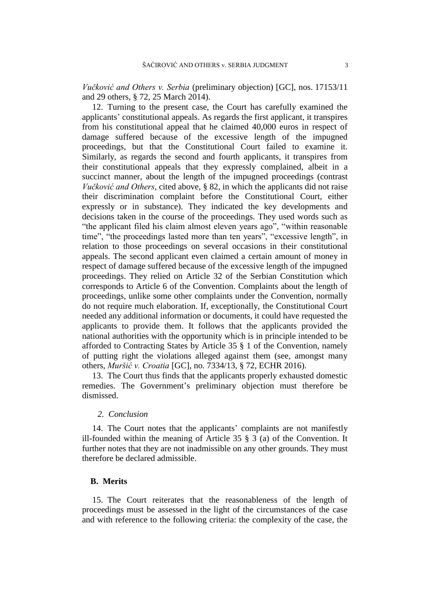*Vučković and Others v. Serbia* (preliminary objection) [GC], nos. 17153/11 and 29 others, § 72, 25 March 2014).

12. Turning to the present case, the Court has carefully examined the applicants' constitutional appeals. As regards the first applicant, it transpires from his constitutional appeal that he claimed 40,000 euros in respect of damage suffered because of the excessive length of the impugned proceedings, but that the Constitutional Court failed to examine it. Similarly, as regards the second and fourth applicants, it transpires from their constitutional appeals that they expressly complained, albeit in a succinct manner, about the length of the impugned proceedings (contrast *Vučković and Others*, cited above, § 82, in which the applicants did not raise their discrimination complaint before the Constitutional Court, either expressly or in substance). They indicated the key developments and decisions taken in the course of the proceedings. They used words such as "the applicant filed his claim almost eleven years ago", "within reasonable time", "the proceedings lasted more than ten years", "excessive length", in relation to those proceedings on several occasions in their constitutional appeals. The second applicant even claimed a certain amount of money in respect of damage suffered because of the excessive length of the impugned proceedings. They relied on Article 32 of the Serbian Constitution which corresponds to Article 6 of the Convention. Complaints about the length of proceedings, unlike some other complaints under the Convention, normally do not require much elaboration. If, exceptionally, the Constitutional Court needed any additional information or documents, it could have requested the applicants to provide them. It follows that the applicants provided the national authorities with the opportunity which is in principle intended to be afforded to Contracting States by Article 35 § 1 of the Convention, namely of putting right the violations alleged against them (see, amongst many others, *Muršić v. Croatia* [GC], no. 7334/13, § 72, ECHR 2016).

13. The Court thus finds that the applicants properly exhausted domestic remedies. The Government's preliminary objection must therefore be dismissed.

#### *2. Conclusion*

14. The Court notes that the applicants' complaints are not manifestly ill-founded within the meaning of Article 35 § 3 (a) of the Convention. It further notes that they are not inadmissible on any other grounds. They must therefore be declared admissible.

#### **B. Merits**

15. The Court reiterates that the reasonableness of the length of proceedings must be assessed in the light of the circumstances of the case and with reference to the following criteria: the complexity of the case, the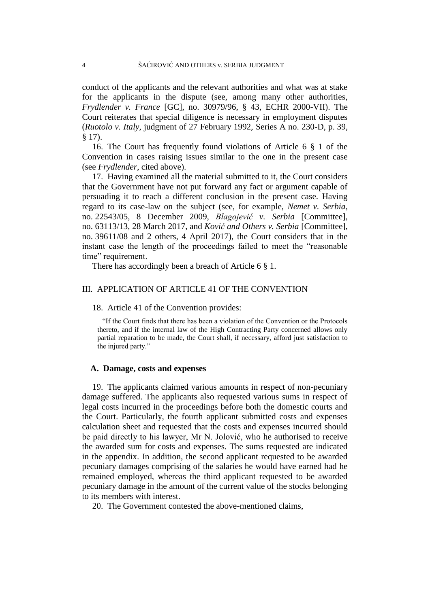conduct of the applicants and the relevant authorities and what was at stake for the applicants in the dispute (see, among many other authorities, *Frydlender v. France* [GC], no. 30979/96, § 43, ECHR 2000-VII). The Court reiterates that special diligence is necessary in employment disputes (*Ruotolo v. Italy*, judgment of 27 February 1992, Series A no. 230-D, p. 39, § 17).

16. The Court has frequently found violations of Article 6 § 1 of the Convention in cases raising issues similar to the one in the present case (see *Frydlender*, cited above).

17. Having examined all the material submitted to it, the Court considers that the Government have not put forward any fact or argument capable of persuading it to reach a different conclusion in the present case. Having regard to its case-law on the subject (see, for example, *Nemet v. Serbia*, no. 22543/05, 8 December 2009, *Blagojević v. Serbia* [Committee], no. 63113/13, 28 March 2017, and *Ković and Others v. Serbia* [Committee], no. 39611/08 and 2 others, 4 April 2017), the Court considers that in the instant case the length of the proceedings failed to meet the "reasonable time" requirement.

There has accordingly been a breach of Article 6 § 1.

#### III. APPLICATION OF ARTICLE 41 OF THE CONVENTION

18. Article 41 of the Convention provides:

"If the Court finds that there has been a violation of the Convention or the Protocols thereto, and if the internal law of the High Contracting Party concerned allows only partial reparation to be made, the Court shall, if necessary, afford just satisfaction to the injured party."

#### **A. Damage, costs and expenses**

19. The applicants claimed various amounts in respect of non-pecuniary damage suffered. The applicants also requested various sums in respect of legal costs incurred in the proceedings before both the domestic courts and the Court. Particularly, the fourth applicant submitted costs and expenses calculation sheet and requested that the costs and expenses incurred should be paid directly to his lawyer, Mr N. Jolović, who he authorised to receive the awarded sum for costs and expenses. The sums requested are indicated in the appendix. In addition, the second applicant requested to be awarded pecuniary damages comprising of the salaries he would have earned had he remained employed, whereas the third applicant requested to be awarded pecuniary damage in the amount of the current value of the stocks belonging to its members with interest.

20. The Government contested the above-mentioned claims,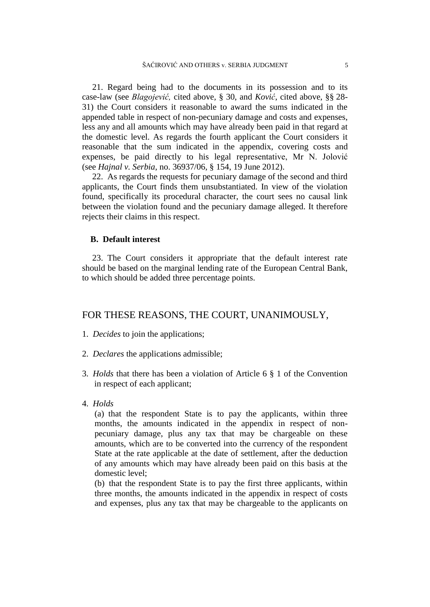21. Regard being had to the documents in its possession and to its case-law (see *Blagojević,* cited above*,* § 30, and *Ković*, cited above, §§ 28- 31) the Court considers it reasonable to award the sums indicated in the appended table in respect of non-pecuniary damage and costs and expenses, less any and all amounts which may have already been paid in that regard at the domestic level. As regards the fourth applicant the Court considers it reasonable that the sum indicated in the appendix, covering costs and expenses, be paid directly to his legal representative, Mr N. Jolović (see *Hajnal v. Serbia*, no. 36937/06, § 154, 19 June 2012).

22. As regards the requests for pecuniary damage of the second and third applicants, the Court finds them unsubstantiated. In view of the violation found, specifically its procedural character, the court sees no causal link between the violation found and the pecuniary damage alleged. It therefore rejects their claims in this respect.

#### **B. Default interest**

23. The Court considers it appropriate that the default interest rate should be based on the marginal lending rate of the European Central Bank, to which should be added three percentage points.

#### FOR THESE REASONS, THE COURT, UNANIMOUSLY,

- 1. *Decides* to join the applications;
- 2. *Declares* the applications admissible;
- 3. *Holds* that there has been a violation of Article 6 § 1 of the Convention in respect of each applicant;
- 4. *Holds*

(a) that the respondent State is to pay the applicants, within three months, the amounts indicated in the appendix in respect of nonpecuniary damage, plus any tax that may be chargeable on these amounts, which are to be converted into the currency of the respondent State at the rate applicable at the date of settlement, after the deduction of any amounts which may have already been paid on this basis at the domestic level;

(b) that the respondent State is to pay the first three applicants, within three months, the amounts indicated in the appendix in respect of costs and expenses, plus any tax that may be chargeable to the applicants on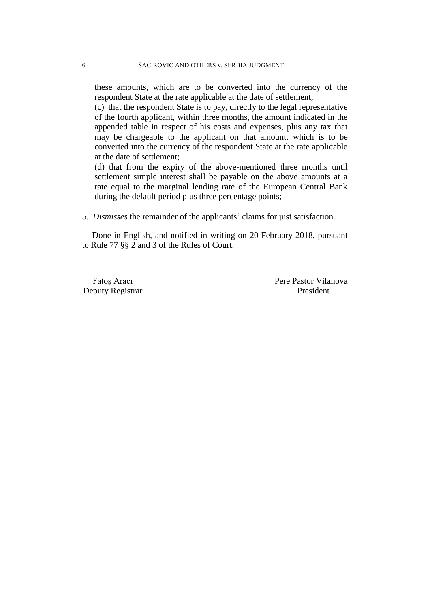these amounts, which are to be converted into the currency of the respondent State at the rate applicable at the date of settlement;

(c) that the respondent State is to pay, directly to the legal representative of the fourth applicant, within three months, the amount indicated in the appended table in respect of his costs and expenses, plus any tax that may be chargeable to the applicant on that amount, which is to be converted into the currency of the respondent State at the rate applicable at the date of settlement;

(d) that from the expiry of the above-mentioned three months until settlement simple interest shall be payable on the above amounts at a rate equal to the marginal lending rate of the European Central Bank during the default period plus three percentage points;

5. *Dismisses* the remainder of the applicants' claims for just satisfaction.

Done in English, and notified in writing on 20 February 2018, pursuant to Rule 77 §§ 2 and 3 of the Rules of Court.

Deputy Registrar President

Fatos Aracı Pere Pastor Vilanova